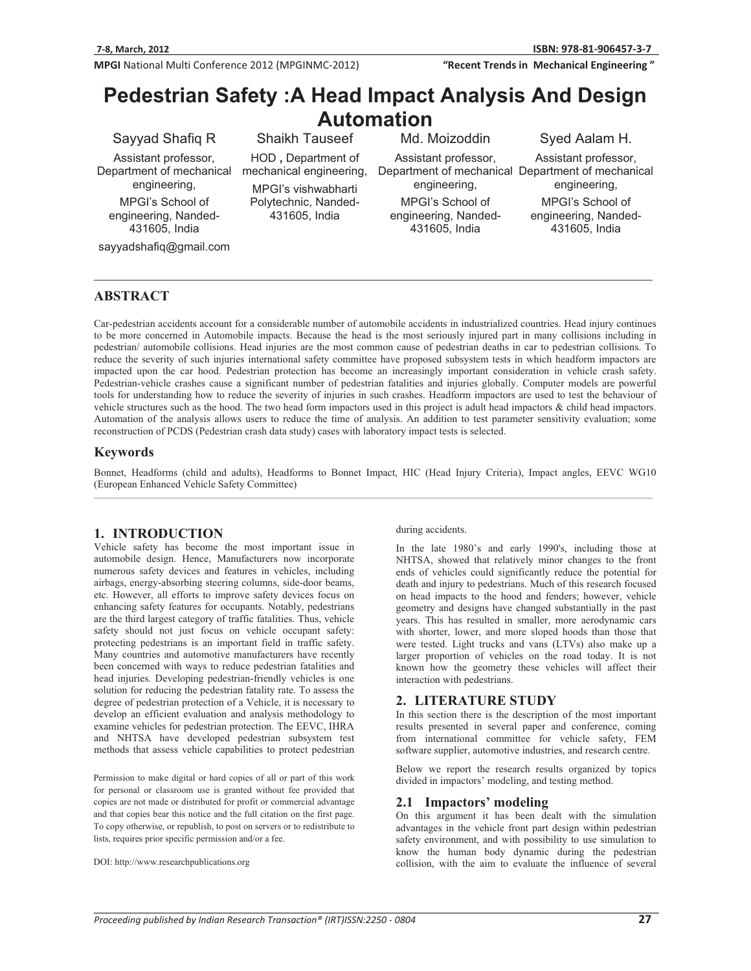**MPGI** National Multi Conference 2012 (MPGINMC-2012)  $\sum_{i=1}^{n}$  **"RecentTrendsinMechanicalEngineering"**

# **Pedestrian Safety :A Head Impact Analysis And Design Automation**

Sayyad Shafiq R Assistant professor, Department of mechanical engineering, MPGI's School of engineering, Nanded-431605, India

sayyadshafiq@gmail.com

HOD **,** Department of mechanical engineering, MPGI's vishwabharti Polytechnic, Nanded-431605, India

Shaikh Tauseef

Md. Moizoddin Assistant professor, Department of mechanical Department of mechanical engineering, MPGI's School of engineering, Nanded-431605, India

Syed Aalam H.

Assistant professor, engineering,

MPGI's School of engineering, Nanded-431605, India

# **ABSTRACT**

Car-pedestrian accidents account for a considerable number of automobile accidents in industrialized countries. Head injury continues to be more concerned in Automobile impacts. Because the head is the most seriously injured part in many collisions including in pedestrian/ automobile collisions. Head injuries are the most common cause of pedestrian deaths in car to pedestrian collisions. To reduce the severity of such injuries international safety committee have proposed subsystem tests in which headform impactors are impacted upon the car hood. Pedestrian protection has become an increasingly important consideration in vehicle crash safety. Pedestrian-vehicle crashes cause a significant number of pedestrian fatalities and injuries globally. Computer models are powerful tools for understanding how to reduce the severity of injuries in such crashes. Headform impactors are used to test the behaviour of vehicle structures such as the hood. The two head form impactors used in this project is adult head impactors & child head impactors. Automation of the analysis allows users to reduce the time of analysis. An addition to test parameter sensitivity evaluation; some reconstruction of PCDS (Pedestrian crash data study) cases with laboratory impact tests is selected.

# **Keywords**

Bonnet, Headforms (child and adults), Headforms to Bonnet Impact, HIC (Head Injury Criteria), Impact angles, EEVC WG10 (European Enhanced Vehicle Safety Committee)

# **1. INTRODUCTION**

Vehicle safety has become the most important issue in automobile design. Hence, Manufacturers now incorporate numerous safety devices and features in vehicles, including airbags, energy-absorbing steering columns, side-door beams, etc. However, all efforts to improve safety devices focus on enhancing safety features for occupants. Notably, pedestrians are the third largest category of traffic fatalities. Thus, vehicle safety should not just focus on vehicle occupant safety: protecting pedestrians is an important field in traffic safety. Many countries and automotive manufacturers have recently been concerned with ways to reduce pedestrian fatalities and head injuries. Developing pedestrian-friendly vehicles is one solution for reducing the pedestrian fatality rate. To assess the degree of pedestrian protection of a Vehicle, it is necessary to develop an efficient evaluation and analysis methodology to examine vehicles for pedestrian protection. The EEVC, IHRA and NHTSA have developed pedestrian subsystem test methods that assess vehicle capabilities to protect pedestrian

Permission to make digital or hard copies of all or part of this work for personal or classroom use is granted without fee provided that copies are not made or distributed for profit or commercial advantage and that copies bear this notice and the full citation on the first page. To copy otherwise, or republish, to post on servers or to redistribute to lists, requires prior specific permission and/or a fee.

DOI: http://www.researchpublications.org

during accidents.

In the late 1980's and early 1990's, including those at NHTSA, showed that relatively minor changes to the front ends of vehicles could significantly reduce the potential for death and injury to pedestrians. Much of this research focused on head impacts to the hood and fenders; however, vehicle geometry and designs have changed substantially in the past years. This has resulted in smaller, more aerodynamic cars with shorter, lower, and more sloped hoods than those that were tested. Light trucks and vans (LTVs) also make up a larger proportion of vehicles on the road today. It is not known how the geometry these vehicles will affect their interaction with pedestrians.

# **2. LITERATURE STUDY**

In this section there is the description of the most important results presented in several paper and conference, coming from international committee for vehicle safety, FEM software supplier, automotive industries, and research centre.

Below we report the research results organized by topics divided in impactors' modeling, and testing method.

# **2.1 Impactors' modeling**

On this argument it has been dealt with the simulation advantages in the vehicle front part design within pedestrian safety environment, and with possibility to use simulation to know the human body dynamic during the pedestrian collision, with the aim to evaluate the influence of several

*---------------*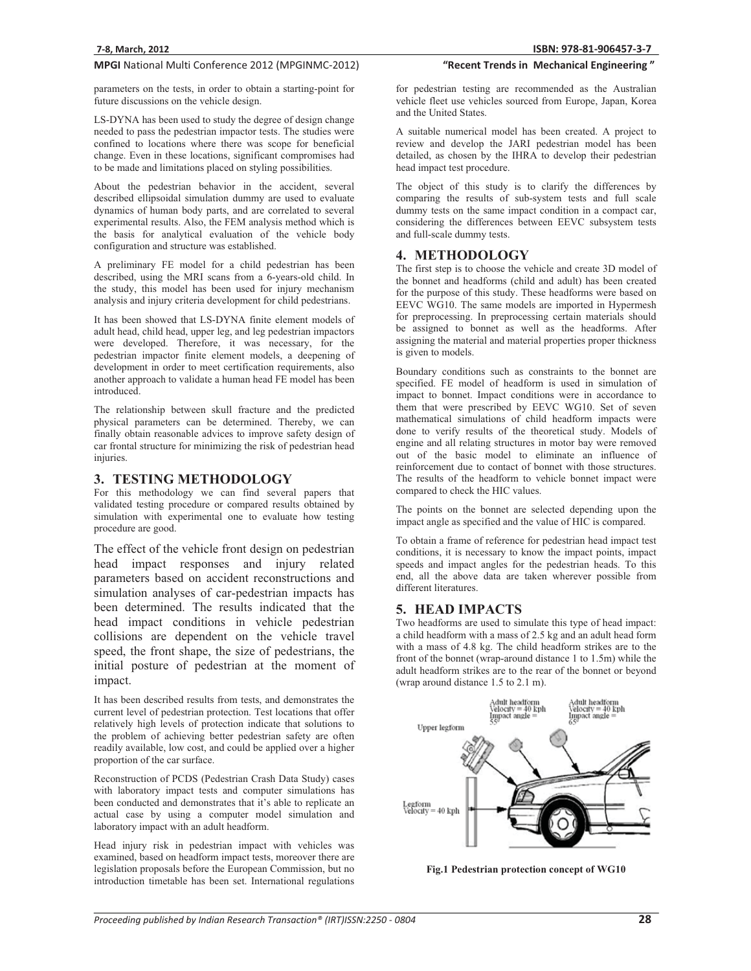### **81-906457-3-7**

# **MPGI** National Multi Conference 2012 (MPGINMC-2012)

parameters on the tests, in order to obtain a starting-point for future discussions on the vehicle design.

LS-DYNA has been used to study the degree of design change needed to pass the pedestrian impactor tests. The studies were confined to locations where there was scope for beneficial change. Even in these locations, significant compromises had to be made and limitations placed on styling possibilities.

About the pedestrian behavior in the accident, several described ellipsoidal simulation dummy are used to evaluate dynamics of human body parts, and are correlated to several experimental results. Also, the FEM analysis method which is the basis for analytical evaluation of the vehicle body configuration and structure was established.

A preliminary FE model for a child pedestrian has been described, using the MRI scans from a 6-years-old child. In the study, this model has been used for injury mechanism analysis and injury criteria development for child pedestrians.

It has been showed that LS-DYNA finite element models of adult head, child head, upper leg, and leg pedestrian impactors were developed. Therefore, it was necessary, for the pedestrian impactor finite element models, a deepening of development in order to meet certification requirements, also another approach to validate a human head FE model has been introduced.

The relationship between skull fracture and the predicted physical parameters can be determined. Thereby, we can finally obtain reasonable advices to improve safety design of car frontal structure for minimizing the risk of pedestrian head injuries.

## **3. TESTING METHODOLOGY**

For this methodology we can find several papers that validated testing procedure or compared results obtained by simulation with experimental one to evaluate how testing procedure are good.

The effect of the vehicle front design on pedestrian head impact responses and injury related parameters based on accident reconstructions and simulation analyses of car-pedestrian impacts has been determined. The results indicated that the head impact conditions in vehicle pedestrian collisions are dependent on the vehicle travel speed, the front shape, the size of pedestrians, the initial posture of pedestrian at the moment of impact.

It has been described results from tests, and demonstrates the current level of pedestrian protection. Test locations that offer relatively high levels of protection indicate that solutions to the problem of achieving better pedestrian safety are often readily available, low cost, and could be applied over a higher proportion of the car surface.

Reconstruction of PCDS (Pedestrian Crash Data Study) cases with laboratory impact tests and computer simulations has been conducted and demonstrates that it's able to replicate an actual case by using a computer model simulation and laboratory impact with an adult headform.

Head injury risk in pedestrian impact with vehicles was examined, based on headform impact tests, moreover there are legislation proposals before the European Commission, but no introduction timetable has been set. International regulations

for pedestrian testing are recommended as the Australian vehicle fleet use vehicles sourced from Europe, Japan, Korea and the United States.

**"RecentTrendsinMechanicalEngineering"**

A suitable numerical model has been created. A project to review and develop the JARI pedestrian model has been detailed, as chosen by the IHRA to develop their pedestrian head impact test procedure.

The object of this study is to clarify the differences by comparing the results of sub-system tests and full scale dummy tests on the same impact condition in a compact car, considering the differences between EEVC subsystem tests and full-scale dummy tests.

## **4. METHODOLOGY**

The first step is to choose the vehicle and create 3D model of the bonnet and headforms (child and adult) has been created for the purpose of this study. These headforms were based on EEVC WG10. The same models are imported in Hypermesh for preprocessing. In preprocessing certain materials should be assigned to bonnet as well as the headforms. After assigning the material and material properties proper thickness is given to models.

Boundary conditions such as constraints to the bonnet are specified. FE model of headform is used in simulation of impact to bonnet. Impact conditions were in accordance to them that were prescribed by EEVC WG10. Set of seven mathematical simulations of child headform impacts were done to verify results of the theoretical study. Models of engine and all relating structures in motor bay were removed out of the basic model to eliminate an influence of reinforcement due to contact of bonnet with those structures. The results of the headform to vehicle bonnet impact were compared to check the HIC values.

The points on the bonnet are selected depending upon the impact angle as specified and the value of HIC is compared.

To obtain a frame of reference for pedestrian head impact test conditions, it is necessary to know the impact points, impact speeds and impact angles for the pedestrian heads. To this end, all the above data are taken wherever possible from different literatures.

# **5. HEAD IMPACTS**

Two headforms are used to simulate this type of head impact: a child headform with a mass of 2.5 kg and an adult head form with a mass of 4.8 kg. The child headform strikes are to the front of the bonnet (wrap-around distance 1 to 1.5m) while the adult headform strikes are to the rear of the bonnet or beyond (wrap around distance 1.5 to 2.1 m).



**Fig.1 Pedestrian protection concept of WG10**

*--------------*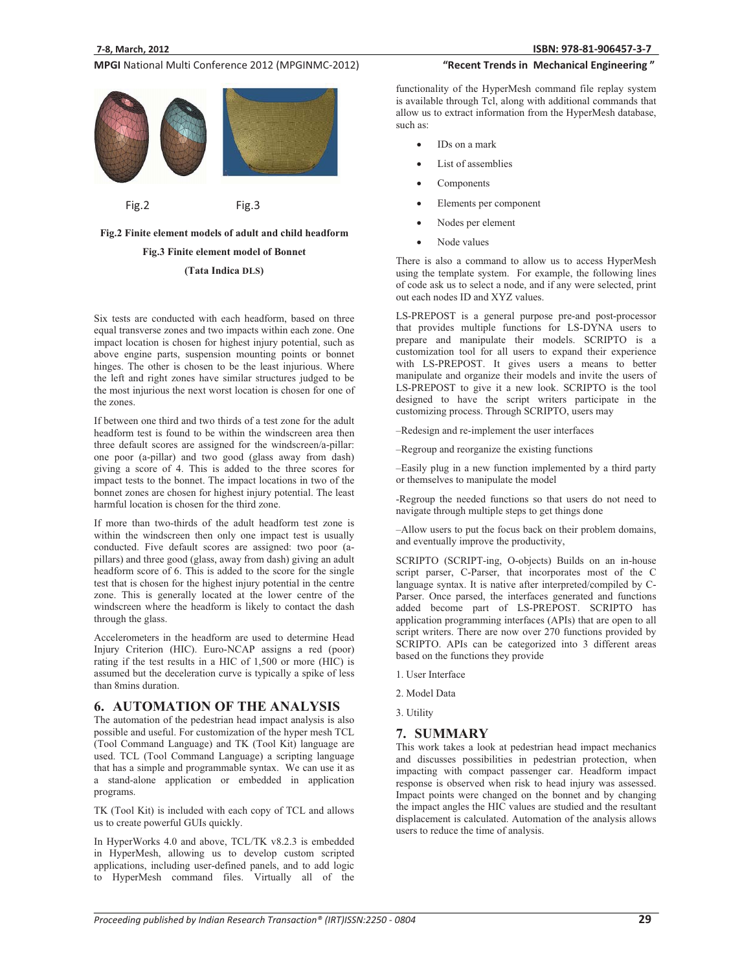### **MPGI** National Multi Conference 2012 (MPGINMC-2012)



**Fig.2 Finite element models of adult and child headform Fig.3 Finite element model of Bonnet** 

### **(Tata Indica DLS)**

Six tests are conducted with each headform, based on three equal transverse zones and two impacts within each zone. One impact location is chosen for highest injury potential, such as above engine parts, suspension mounting points or bonnet hinges. The other is chosen to be the least injurious. Where the left and right zones have similar structures judged to be the most injurious the next worst location is chosen for one of the zones.

If between one third and two thirds of a test zone for the adult headform test is found to be within the windscreen area then three default scores are assigned for the windscreen/a-pillar: one poor (a-pillar) and two good (glass away from dash) giving a score of 4. This is added to the three scores for impact tests to the bonnet. The impact locations in two of the bonnet zones are chosen for highest injury potential. The least harmful location is chosen for the third zone.

If more than two-thirds of the adult headform test zone is within the windscreen then only one impact test is usually conducted. Five default scores are assigned: two poor (apillars) and three good (glass, away from dash) giving an adult headform score of 6. This is added to the score for the single test that is chosen for the highest injury potential in the centre zone. This is generally located at the lower centre of the windscreen where the headform is likely to contact the dash through the glass.

Accelerometers in the headform are used to determine Head Injury Criterion (HIC). Euro-NCAP assigns a red (poor) rating if the test results in a HIC of 1,500 or more (HIC) is assumed but the deceleration curve is typically a spike of less than 8mins duration.

### **6. AUTOMATION OF THE ANALYSIS**

The automation of the pedestrian head impact analysis is also possible and useful. For customization of the hyper mesh TCL (Tool Command Language) and TK (Tool Kit) language are used. TCL (Tool Command Language) a scripting language that has a simple and programmable syntax. We can use it as a stand-alone application or embedded in application programs.

TK (Tool Kit) is included with each copy of TCL and allows us to create powerful GUIs quickly.

In HyperWorks 4.0 and above, TCL/TK v8.2.3 is embedded in HyperMesh, allowing us to develop custom scripted applications, including user-defined panels, and to add logic to HyperMesh command files. Virtually all of the

functionality of the HyperMesh command file replay system is available through Tcl, along with additional commands that allow us to extract information from the HyperMesh database, such as:

**"RecentTrendsinMechanicalEngineering"**

- -IDs on a mark
- -List of assemblies
- -Components
- -Elements per component
- -Nodes per element
- -Node values

There is also a command to allow us to access HyperMesh using the template system. For example, the following lines of code ask us to select a node, and if any were selected, print out each nodes ID and XYZ values.

LS-PREPOST is a general purpose pre-and post-processor that provides multiple functions for LS-DYNA users to prepare and manipulate their models. SCRIPTO is a customization tool for all users to expand their experience with LS-PREPOST. It gives users a means to better manipulate and organize their models and invite the users of LS-PREPOST to give it a new look. SCRIPTO is the tool designed to have the script writers participate in the customizing process. Through SCRIPTO, users may

–Redesign and re-implement the user interfaces

–Regroup and reorganize the existing functions

–Easily plug in a new function implemented by a third party or themselves to manipulate the model

-Regroup the needed functions so that users do not need to navigate through multiple steps to get things done

–Allow users to put the focus back on their problem domains, and eventually improve the productivity,

SCRIPTO (SCRIPT-ing, O-objects) Builds on an in-house script parser, C-Parser, that incorporates most of the C language syntax. It is native after interpreted/compiled by C-Parser. Once parsed, the interfaces generated and functions added become part of LS-PREPOST. SCRIPTO has application programming interfaces (APIs) that are open to all script writers. There are now over 270 functions provided by SCRIPTO. APIs can be categorized into 3 different areas based on the functions they provide

- 1. User Interface
- 2. Model Data
- 3. Utility

#### **7. SUMMARY**

This work takes a look at pedestrian head impact mechanics and discusses possibilities in pedestrian protection, when impacting with compact passenger car. Headform impact response is observed when risk to head injury was assessed. Impact points were changed on the bonnet and by changing the impact angles the HIC values are studied and the resultant displacement is calculated. Automation of the analysis allows users to reduce the time of analysis.

*---------------*